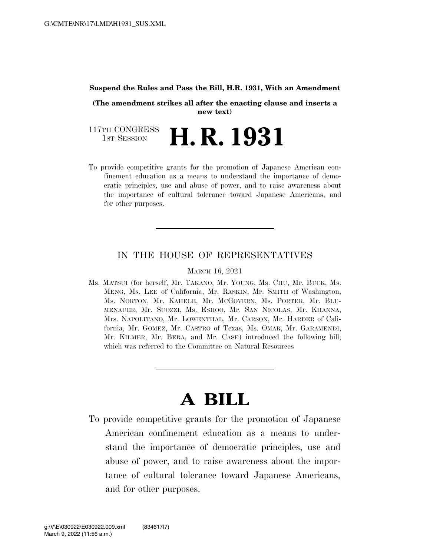## **Suspend the Rules and Pass the Bill, H.R. 1931, With an Amendment**

**(The amendment strikes all after the enacting clause and inserts a new text)** 

117TH CONGRESS<br>1st Session **H. R. 1931** 

To provide competitive grants for the promotion of Japanese American confinement education as a means to understand the importance of democratic principles, use and abuse of power, and to raise awareness about the importance of cultural tolerance toward Japanese Americans, and for other purposes.

## IN THE HOUSE OF REPRESENTATIVES

MARCH 16, 2021

Ms. MATSUI (for herself, Mr. TAKANO, Mr. YOUNG, Ms. CHU, Mr. BUCK, Ms. MENG, Ms. LEE of California, Mr. RASKIN, Mr. SMITH of Washington, Ms. NORTON, Mr. KAHELE, Mr. MCGOVERN, Ms. PORTER, Mr. BLU-MENAUER, Mr. SUOZZI, Ms. ESHOO, Mr. SAN NICOLAS, Mr. KHANNA, Mrs. NAPOLITANO, Mr. LOWENTHAL, Mr. CARSON, Mr. HARDER of California, Mr. GOMEZ, Mr. CASTRO of Texas, Ms. OMAR, Mr. GARAMENDI, Mr. KILMER, Mr. BERA, and Mr. CASE) introduced the following bill; which was referred to the Committee on Natural Resources

## **A BILL**

To provide competitive grants for the promotion of Japanese American confinement education as a means to understand the importance of democratic principles, use and abuse of power, and to raise awareness about the importance of cultural tolerance toward Japanese Americans, and for other purposes.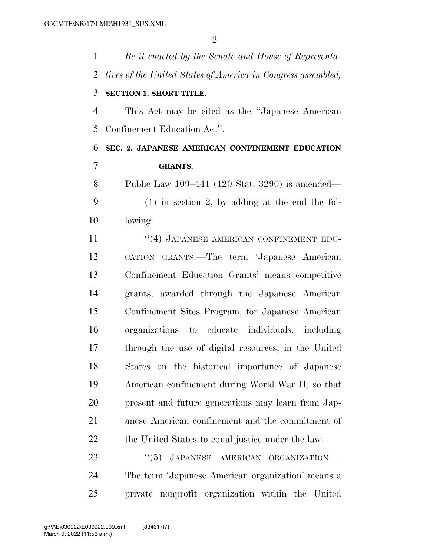| $\mathbf{1}$   | Be it enacted by the Senate and House of Representa-         |
|----------------|--------------------------------------------------------------|
| $\overline{2}$ | tives of the United States of America in Congress assembled, |
| 3              | <b>SECTION 1. SHORT TITLE.</b>                               |
| $\overline{4}$ | This Act may be cited as the "Japanese American"             |
| 5              | Confinement Education Act".                                  |
| 6              | SEC. 2. JAPANESE AMERICAN CONFINEMENT EDUCATION              |
| $\overline{7}$ | <b>GRANTS.</b>                                               |
| 8              | Public Law 109–441 (120 Stat. 3290) is amended—              |
| 9              | $(1)$ in section 2, by adding at the end the fol-            |
| 10             | lowing:                                                      |
| 11             | "(4) JAPANESE AMERICAN CONFINEMENT EDU-                      |
| 12             | CATION GRANTS.—The term 'Japanese American                   |
| 13             | Confinement Education Grants' means competitive              |
| 14             | grants, awarded through the Japanese American                |
| 15             | Confinement Sites Program, for Japanese American             |
| 16             | organizations to educate individuals, including              |
| 17             | through the use of digital resources, in the United          |
| 18             | States on the historical importance of Japanese              |
| 19             | American confinement during World War II, so that            |
| 20             | present and future generations may learn from Jap-           |
| 21             | anese American confinement and the commitment of             |
| 22             | the United States to equal justice under the law.            |
| 23             | JAPANESE AMERICAN ORGANIZATION.-<br>(5)                      |
| 24             | The term 'Japanese American organization' means a            |

private nonprofit organization within the United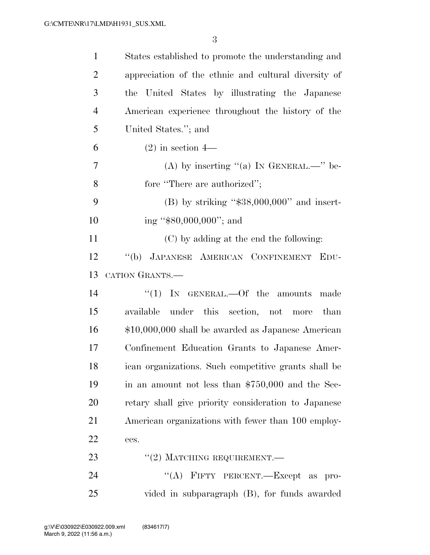| $\mathbf{1}$   | States established to promote the understanding and  |
|----------------|------------------------------------------------------|
| $\overline{2}$ | appreciation of the ethnic and cultural diversity of |
| 3              | the United States by illustrating the Japanese       |
| 4              | American experience throughout the history of the    |
| 5              | United States."; and                                 |
| 6              | $(2)$ in section 4—                                  |
| 7              | (A) by inserting "(a) IN GENERAL.—" be-              |
| 8              | fore "There are authorized";                         |
| 9              | $(B)$ by striking "\$38,000,000" and insert-         |
| 10             | ing " $$80,000,000$ "; and                           |
| 11             | (C) by adding at the end the following:              |
| 12             | "(b) JAPANESE AMERICAN CONFINEMENT EDU-              |
| 13             | CATION GRANTS.                                       |
| 14             | "(1) IN GENERAL.—Of the amounts<br>made              |
| 15             | available under this section, not more than          |
| 16             | \$10,000,000 shall be awarded as Japanese American   |
| 17             | Confinement Education Grants to Japanese Amer-       |
| 18             | ican organizations. Such competitive grants shall be |
| 19             | in an amount not less than $$750,000$ and the Sec-   |
| 20             | retary shall give priority consideration to Japanese |
| 21             | American organizations with fewer than 100 employ-   |
| 22             | ees.                                                 |
| 23             | $``(2)$ MATCHING REQUIREMENT.—                       |
| 24             | "(A) FIFTY PERCENT.—Except as pro-                   |
| 25             | vided in subparagraph (B), for funds awarded         |